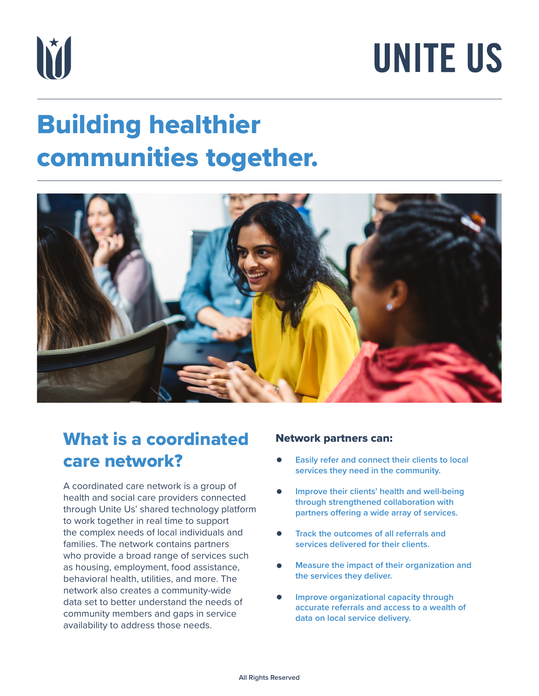

# **UNITE US**

### Building healthier communities together.



### What is a coordinated care network?

A coordinated care network is a group of health and social care providers connected through Unite Us' shared technology platform to work together in real time to support the complex needs of local individuals and families. The network contains partners who provide a broad range of services such as housing, employment, food assistance, behavioral health, utilities, and more. The network also creates a community-wide data set to better understand the needs of community members and gaps in service availability to address those needs.

#### Network partners can:

- **Easily refer and connect their clients to local services they need in the community.**
- **Improve their clients' health and well-being through strengthened collaboration with partners offering a wide array of services.**
- **Track the outcomes of all referrals and services delivered for their clients.**
- **Measure the impact of their organization and the services they deliver.**
- **Improve organizational capacity through accurate referrals and access to a wealth of data on local service delivery.**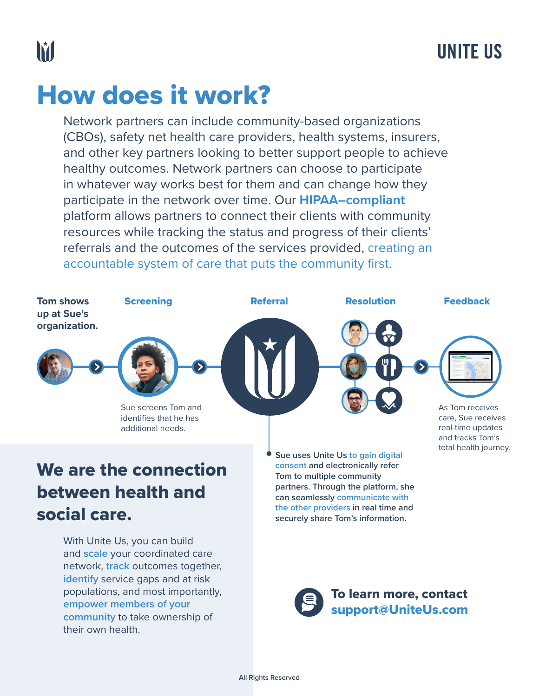### How does it work?

populations, and most importantly,

**empower members of your community** to take ownership of

their own health.

Network partners can include community-based organizations (CBOs), safety net health care providers, health systems, insurers, and other key partners looking to better support people to achieve healthy outcomes. Network partners can choose to participate in whatever way works best for them and can change how they participate in the network over time. Our **HIPAA–compliant** platform allows partners to connect their clients with community resources while tracking the status and progress of their clients' referrals and the outcomes of the services provided, creating an accountable system of care that puts the community first.